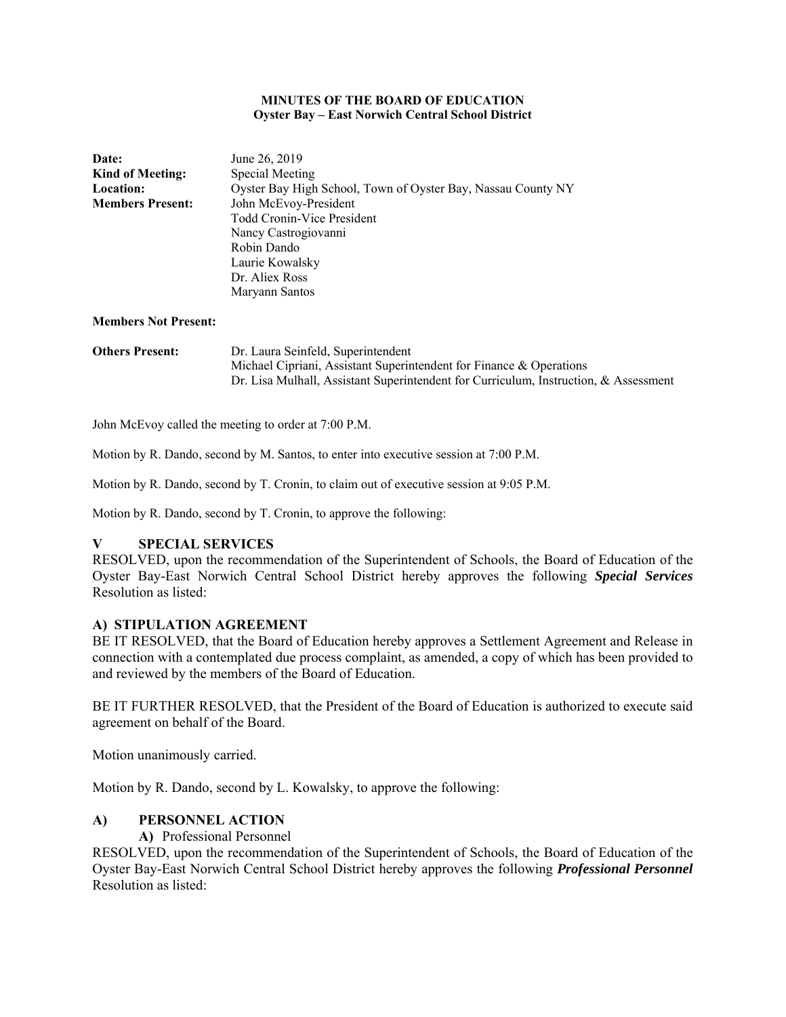#### **MINUTES OF THE BOARD OF EDUCATION Oyster Bay – East Norwich Central School District**

| <b>Date:</b>            | June 26, 2019                                                |  |  |
|-------------------------|--------------------------------------------------------------|--|--|
| <b>Kind of Meeting:</b> | Special Meeting                                              |  |  |
| <b>Location:</b>        | Oyster Bay High School, Town of Oyster Bay, Nassau County NY |  |  |
| <b>Members Present:</b> | John McEvoy-President                                        |  |  |
|                         | Todd Cronin-Vice President                                   |  |  |
|                         | Nancy Castrogiovanni                                         |  |  |
|                         | Robin Dando                                                  |  |  |
|                         | Laurie Kowalsky                                              |  |  |
|                         | Dr. Aliex Ross                                               |  |  |
|                         | Maryann Santos                                               |  |  |
|                         |                                                              |  |  |

#### **Members Not Present:**

| <b>Others Present:</b> | Dr. Laura Seinfeld, Superintendent                                                   |
|------------------------|--------------------------------------------------------------------------------------|
|                        | Michael Cipriani, Assistant Superintendent for Finance & Operations                  |
|                        | Dr. Lisa Mulhall, Assistant Superintendent for Curriculum, Instruction, & Assessment |

John McEvoy called the meeting to order at 7:00 P.M.

Motion by R. Dando, second by M. Santos, to enter into executive session at 7:00 P.M.

Motion by R. Dando, second by T. Cronin, to claim out of executive session at 9:05 P.M.

Motion by R. Dando, second by T. Cronin, to approve the following:

## **V SPECIAL SERVICES**

RESOLVED, upon the recommendation of the Superintendent of Schools, the Board of Education of the Oyster Bay-East Norwich Central School District hereby approves the following *Special Services*  Resolution as listed:

### **A) STIPULATION AGREEMENT**

BE IT RESOLVED, that the Board of Education hereby approves a Settlement Agreement and Release in connection with a contemplated due process complaint, as amended, a copy of which has been provided to and reviewed by the members of the Board of Education.

BE IT FURTHER RESOLVED, that the President of the Board of Education is authorized to execute said agreement on behalf of the Board.

Motion unanimously carried.

Motion by R. Dando, second by L. Kowalsky, to approve the following:

## **A) PERSONNEL ACTION**

### **A)** Professional Personnel

RESOLVED, upon the recommendation of the Superintendent of Schools, the Board of Education of the Oyster Bay-East Norwich Central School District hereby approves the following *Professional Personnel*  Resolution as listed: